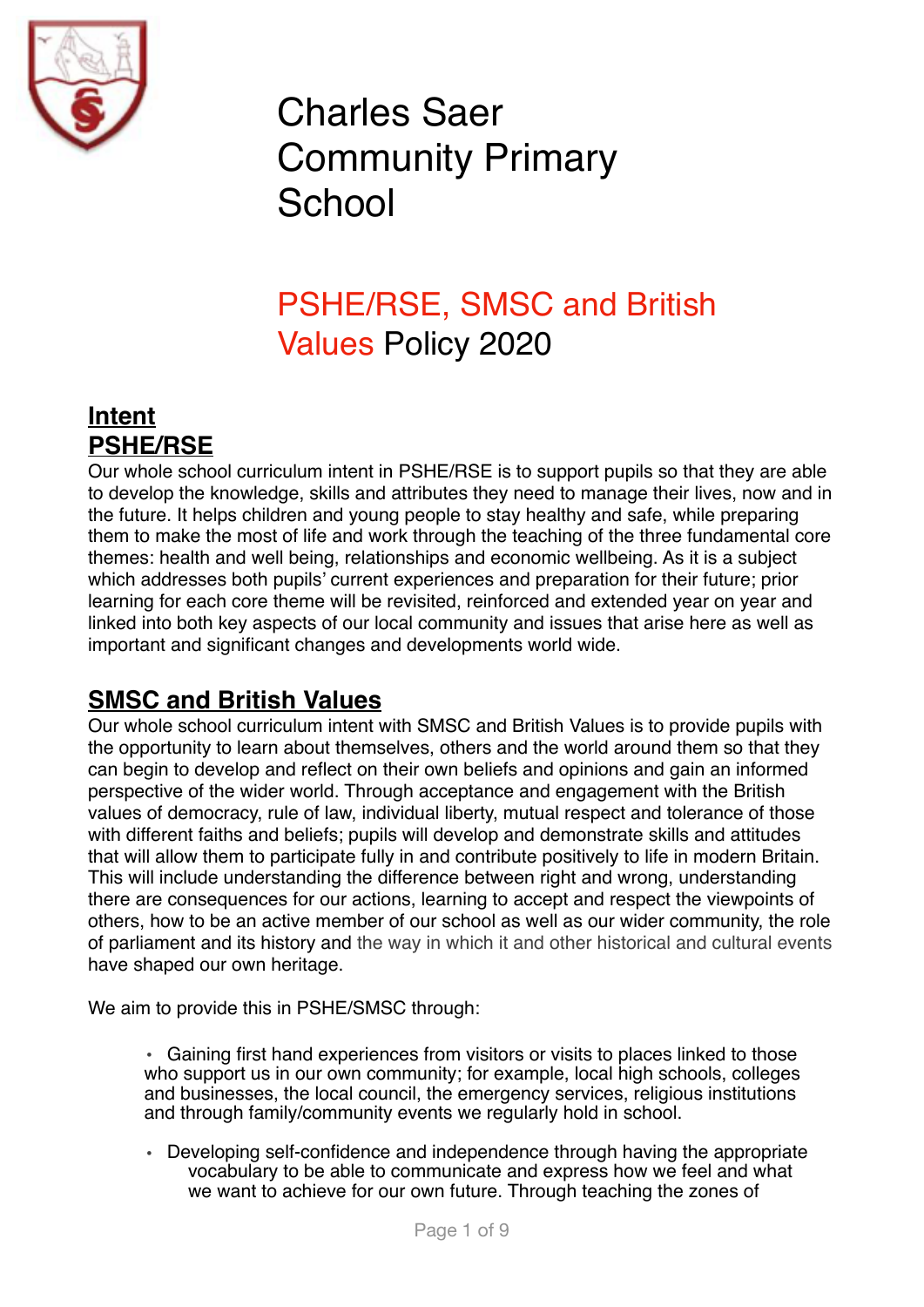

# Charles Saer Community Primary **School**

# PSHE/RSE, SMSC and British Values Policy 2020

# **Intent PSHE/RSE**

Our whole school curriculum intent in PSHE/RSE is to support pupils so that they are able to develop the knowledge, skills and attributes they need to manage their lives, now and in the future. It helps children and young people to stay healthy and safe, while preparing them to make the most of life and work through the teaching of the three fundamental core themes: health and well being, relationships and economic wellbeing. As it is a subject which addresses both pupils' current experiences and preparation for their future; prior learning for each core theme will be revisited, reinforced and extended year on year and linked into both key aspects of our local community and issues that arise here as well as important and significant changes and developments world wide.

# **SMSC and British Values**

Our whole school curriculum intent with SMSC and British Values is to provide pupils with the opportunity to learn about themselves, others and the world around them so that they can begin to develop and reflect on their own beliefs and opinions and gain an informed perspective of the wider world. Through acceptance and engagement with the British values of democracy, rule of law, individual liberty, mutual respect and tolerance of those with different faiths and beliefs; pupils will develop and demonstrate skills and attitudes that will allow them to participate fully in and contribute positively to life in modern Britain. This will include understanding the difference between right and wrong, understanding there are consequences for our actions, learning to accept and respect the viewpoints of others, how to be an active member of our school as well as our wider community, the role of parliament and its history and the way in which it and other historical and cultural events have shaped our own heritage.

We aim to provide this in PSHE/SMSC through:

• Gaining first hand experiences from visitors or visits to places linked to those who support us in our own community; for example, local high schools, colleges and businesses, the local council, the emergency services, religious institutions and through family/community events we regularly hold in school.

• Developing self-confidence and independence through having the appropriate vocabulary to be able to communicate and express how we feel and what we want to achieve for our own future. Through teaching the zones of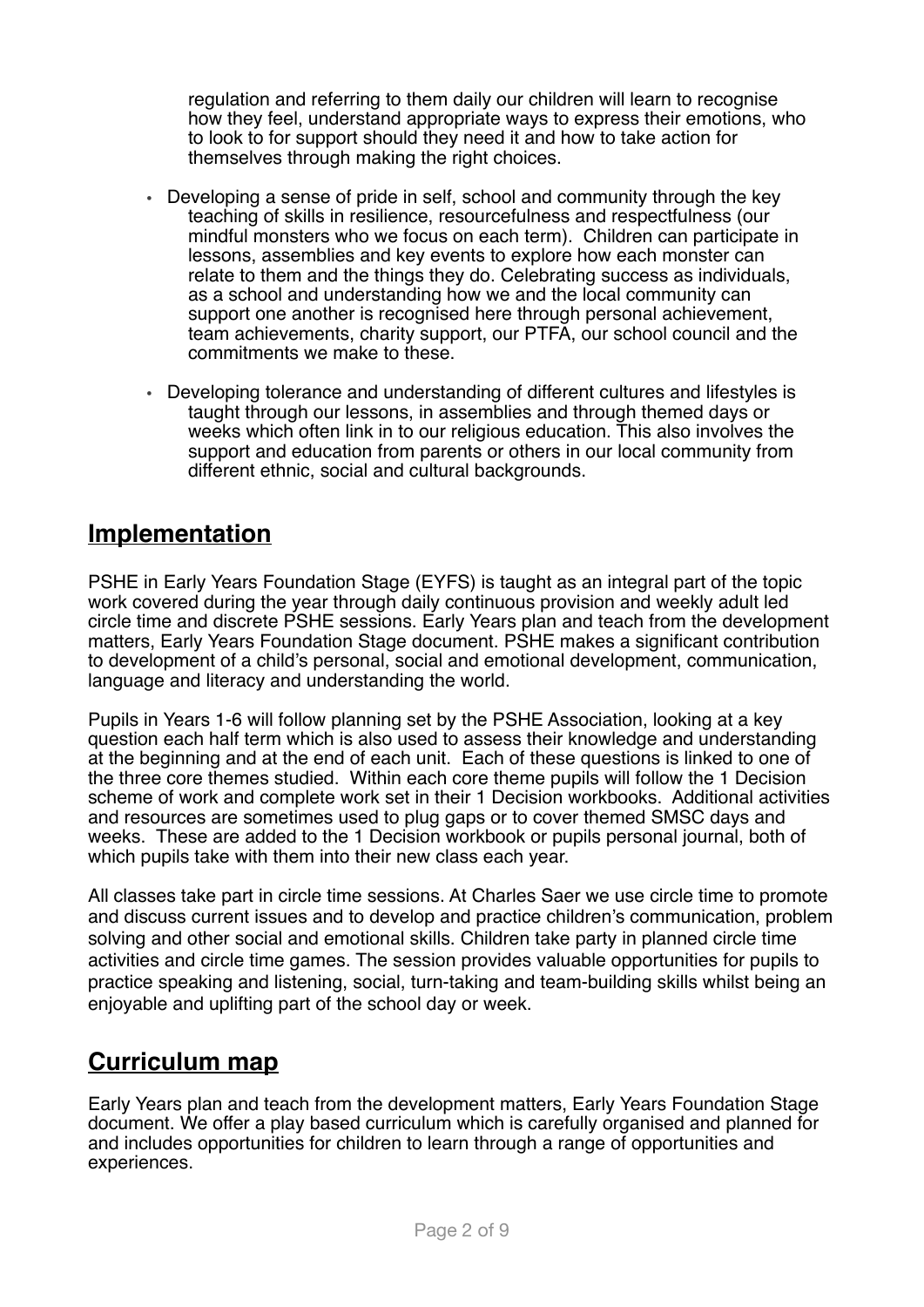regulation and referring to them daily our children will learn to recognise how they feel, understand appropriate ways to express their emotions, who to look to for support should they need it and how to take action for themselves through making the right choices.

- Developing a sense of pride in self, school and community through the key teaching of skills in resilience, resourcefulness and respectfulness (our mindful monsters who we focus on each term). Children can participate in lessons, assemblies and key events to explore how each monster can relate to them and the things they do. Celebrating success as individuals, as a school and understanding how we and the local community can support one another is recognised here through personal achievement, team achievements, charity support, our PTFA, our school council and the commitments we make to these.
- Developing tolerance and understanding of different cultures and lifestyles is taught through our lessons, in assemblies and through themed days or weeks which often link in to our religious education. This also involves the support and education from parents or others in our local community from different ethnic, social and cultural backgrounds.

# **Implementation**

PSHE in Early Years Foundation Stage (EYFS) is taught as an integral part of the topic work covered during the year through daily continuous provision and weekly adult led circle time and discrete PSHE sessions. Early Years plan and teach from the development matters, Early Years Foundation Stage document. PSHE makes a significant contribution to development of a child's personal, social and emotional development, communication, language and literacy and understanding the world.

Pupils in Years 1-6 will follow planning set by the PSHE Association, looking at a key question each half term which is also used to assess their knowledge and understanding at the beginning and at the end of each unit. Each of these questions is linked to one of the three core themes studied. Within each core theme pupils will follow the 1 Decision scheme of work and complete work set in their 1 Decision workbooks. Additional activities and resources are sometimes used to plug gaps or to cover themed SMSC days and weeks. These are added to the 1 Decision workbook or pupils personal journal, both of which pupils take with them into their new class each year.

All classes take part in circle time sessions. At Charles Saer we use circle time to promote and discuss current issues and to develop and practice children's communication, problem solving and other social and emotional skills. Children take party in planned circle time activities and circle time games. The session provides valuable opportunities for pupils to practice speaking and listening, social, turn-taking and team-building skills whilst being an enjoyable and uplifting part of the school day or week.

### **Curriculum map**

Early Years plan and teach from the development matters, Early Years Foundation Stage document. We offer a play based curriculum which is carefully organised and planned for and includes opportunities for children to learn through a range of opportunities and experiences.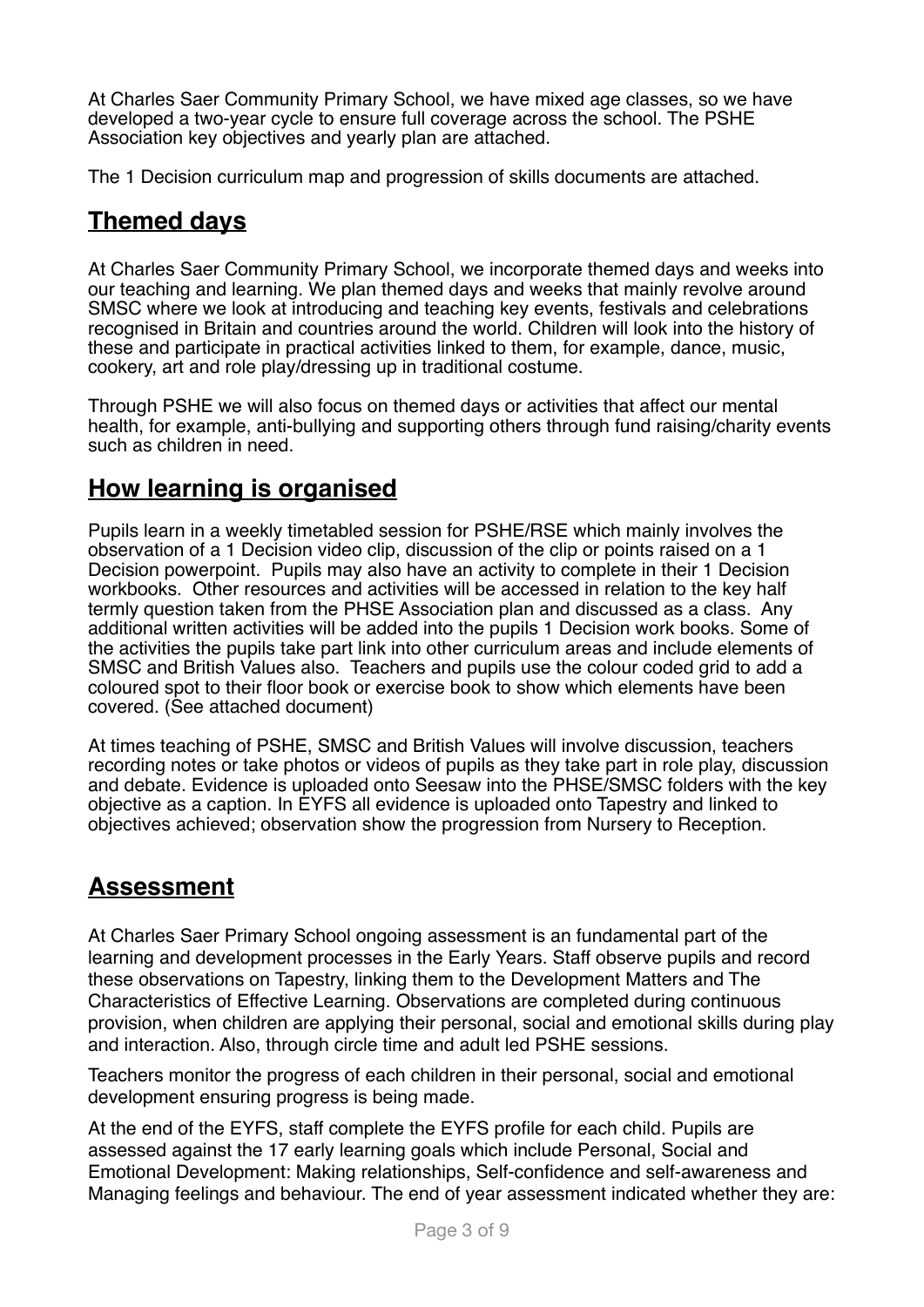At Charles Saer Community Primary School, we have mixed age classes, so we have developed a two-year cycle to ensure full coverage across the school. The PSHE Association key objectives and yearly plan are attached.

The 1 Decision curriculum map and progression of skills documents are attached.

# **Themed days**

At Charles Saer Community Primary School, we incorporate themed days and weeks into our teaching and learning. We plan themed days and weeks that mainly revolve around SMSC where we look at introducing and teaching key events, festivals and celebrations recognised in Britain and countries around the world. Children will look into the history of these and participate in practical activities linked to them, for example, dance, music, cookery, art and role play/dressing up in traditional costume.

Through PSHE we will also focus on themed days or activities that affect our mental health, for example, anti-bullying and supporting others through fund raising/charity events such as children in need.

# **How learning is organised**

Pupils learn in a weekly timetabled session for PSHE/RSE which mainly involves the observation of a 1 Decision video clip, discussion of the clip or points raised on a 1 Decision powerpoint. Pupils may also have an activity to complete in their 1 Decision workbooks. Other resources and activities will be accessed in relation to the key half termly question taken from the PHSE Association plan and discussed as a class. Any additional written activities will be added into the pupils 1 Decision work books. Some of the activities the pupils take part link into other curriculum areas and include elements of SMSC and British Values also. Teachers and pupils use the colour coded grid to add a coloured spot to their floor book or exercise book to show which elements have been covered. (See attached document)

At times teaching of PSHE, SMSC and British Values will involve discussion, teachers recording notes or take photos or videos of pupils as they take part in role play, discussion and debate. Evidence is uploaded onto Seesaw into the PHSE/SMSC folders with the key objective as a caption. In EYFS all evidence is uploaded onto Tapestry and linked to objectives achieved; observation show the progression from Nursery to Reception.

# **Assessment**

At Charles Saer Primary School ongoing assessment is an fundamental part of the learning and development processes in the Early Years. Staff observe pupils and record these observations on Tapestry, linking them to the Development Matters and The Characteristics of Effective Learning. Observations are completed during continuous provision, when children are applying their personal, social and emotional skills during play and interaction. Also, through circle time and adult led PSHE sessions.

Teachers monitor the progress of each children in their personal, social and emotional development ensuring progress is being made.

At the end of the EYFS, staff complete the EYFS profile for each child. Pupils are assessed against the 17 early learning goals which include Personal, Social and Emotional Development: Making relationships, Self-confidence and self-awareness and Managing feelings and behaviour. The end of year assessment indicated whether they are: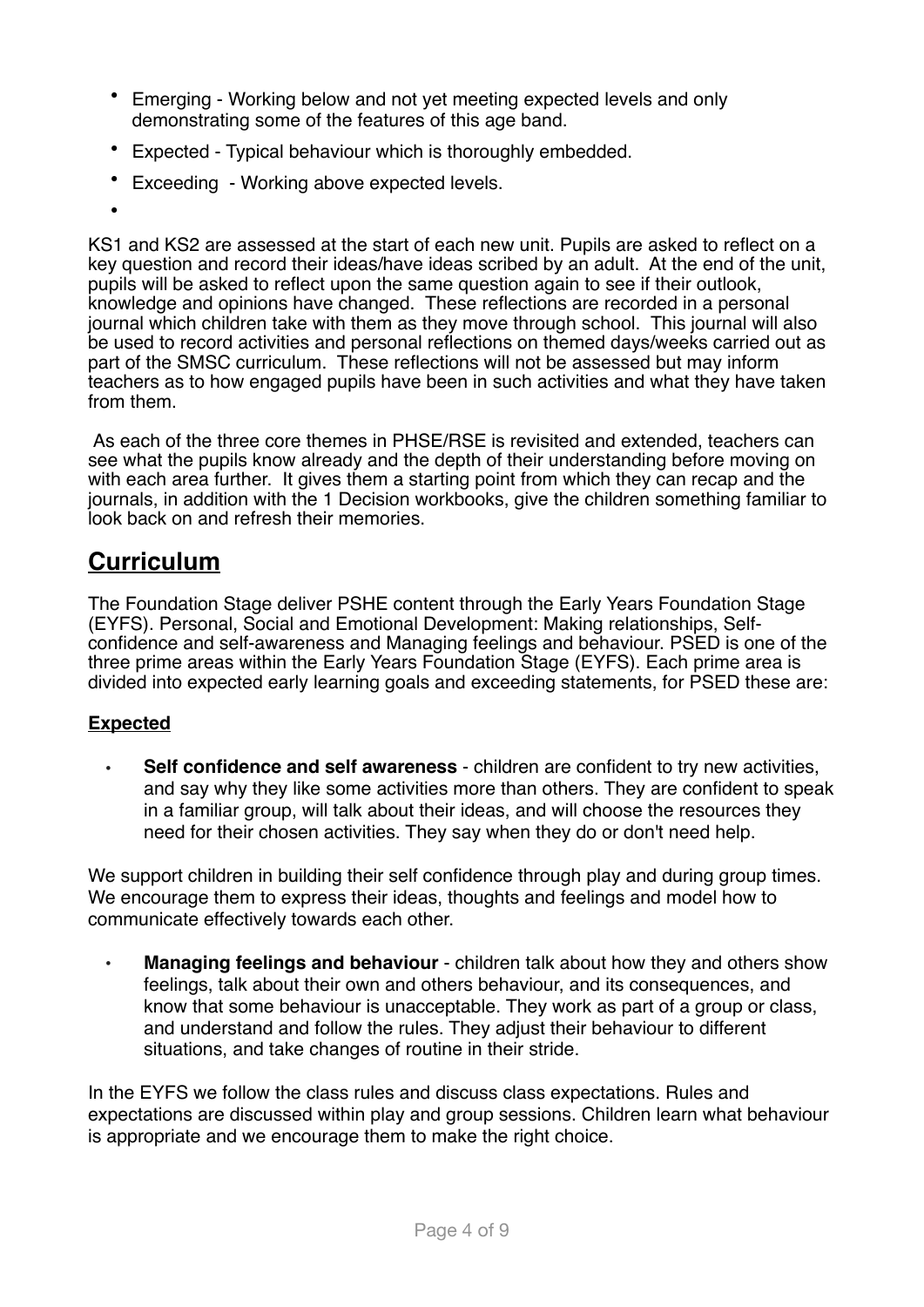- Emerging Working below and not yet meeting expected levels and only demonstrating some of the features of this age band.
- Expected Typical behaviour which is thoroughly embedded.
- Exceeding Working above expected levels.
- •

KS1 and KS2 are assessed at the start of each new unit. Pupils are asked to reflect on a key question and record their ideas/have ideas scribed by an adult. At the end of the unit, pupils will be asked to reflect upon the same question again to see if their outlook, knowledge and opinions have changed. These reflections are recorded in a personal journal which children take with them as they move through school. This journal will also be used to record activities and personal reflections on themed days/weeks carried out as part of the SMSC curriculum. These reflections will not be assessed but may inform teachers as to how engaged pupils have been in such activities and what they have taken from them.

As each of the three core themes in PHSE/RSE is revisited and extended, teachers can see what the pupils know already and the depth of their understanding before moving on with each area further. It gives them a starting point from which they can recap and the journals, in addition with the 1 Decision workbooks, give the children something familiar to look back on and refresh their memories.

# **Curriculum**

The Foundation Stage deliver PSHE content through the Early Years Foundation Stage (EYFS). Personal, Social and Emotional Development: Making relationships, Selfconfidence and self-awareness and Managing feelings and behaviour. PSED is one of the three prime areas within the [Early Years Foundation Stage](https://www.gov.uk/government/publications/early-years-foundation-stage-framework--2) (EYFS). Each prime area is divided into expected early learning goals and exceeding statements, for PSED these are:

#### **Expected**

• **Self confidence and self awareness** - children are confident to try new activities, and say why they like some activities more than others. They are confident to speak in a familiar group, will talk about their ideas, and will choose the resources they need for their chosen activities. They say when they do or don't need help.

We support children in building their self confidence through play and during group times. We encourage them to express their ideas, thoughts and feelings and model how to communicate effectively towards each other.

• **Managing feelings and behaviour** - children talk about how they and others show feelings, talk about their own and others behaviour, and its consequences, and know that some behaviour is unacceptable. They work as part of a group or class, and understand and follow the rules. They adjust their behaviour to different situations, and take changes of routine in their stride.

In the EYFS we follow the class rules and discuss class expectations. Rules and expectations are discussed within play and group sessions. Children learn what behaviour is appropriate and we encourage them to make the right choice.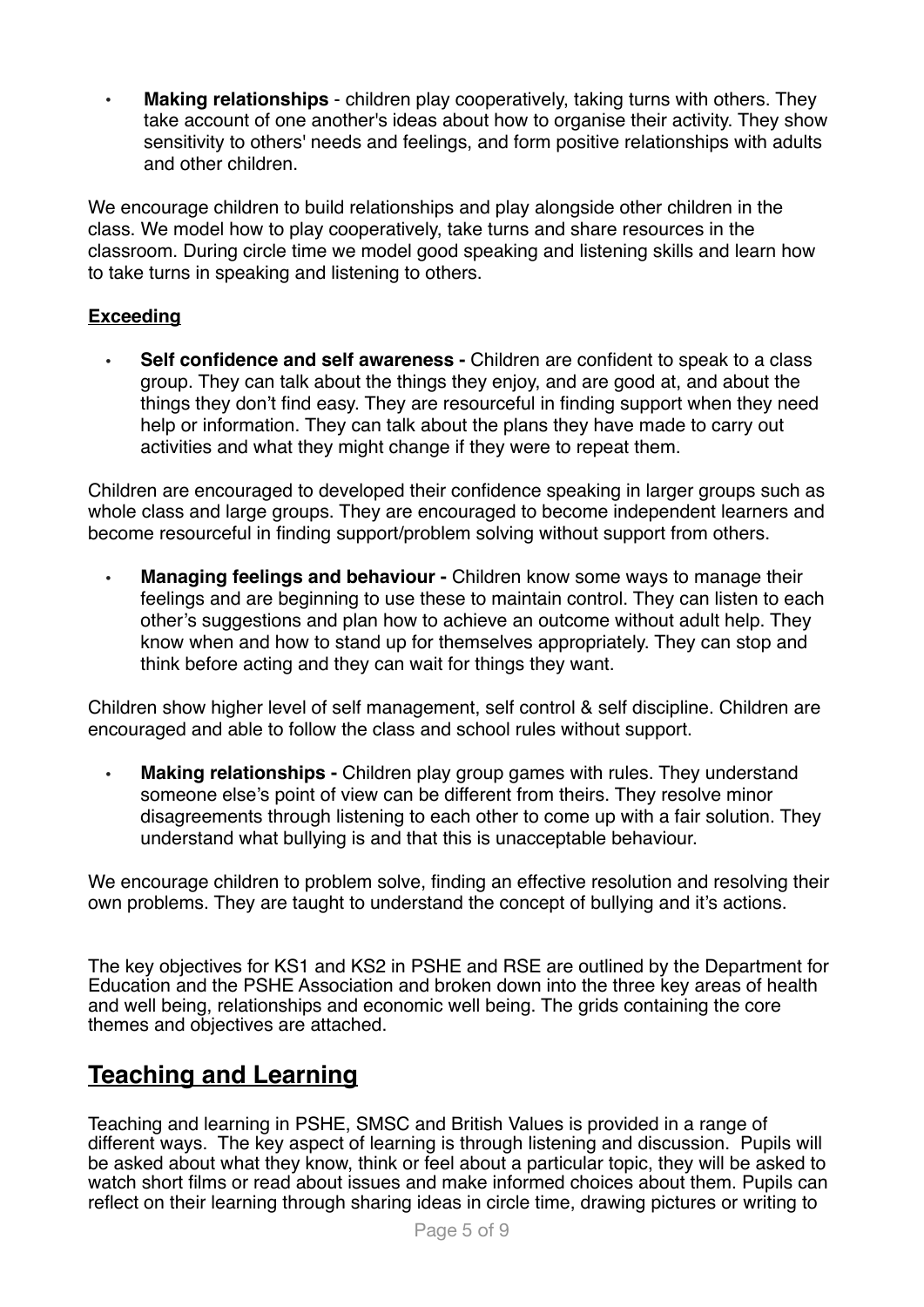• **Making relationships** - children play cooperatively, taking turns with others. They take account of one another's ideas about how to organise their activity. They show sensitivity to others' needs and feelings, and form positive relationships with adults and other children.

We encourage children to build relationships and play alongside other children in the class. We model how to play cooperatively, take turns and share resources in the classroom. During circle time we model good speaking and listening skills and learn how to take turns in speaking and listening to others.

#### **Exceeding**

• **Self confidence and self awareness -** Children are confident to speak to a class group. They can talk about the things they enjoy, and are good at, and about the things they don't find easy. They are resourceful in finding support when they need help or information. They can talk about the plans they have made to carry out activities and what they might change if they were to repeat them.

Children are encouraged to developed their confidence speaking in larger groups such as whole class and large groups. They are encouraged to become independent learners and become resourceful in finding support/problem solving without support from others.

• **Managing feelings and behaviour -** Children know some ways to manage their feelings and are beginning to use these to maintain control. They can listen to each other's suggestions and plan how to achieve an outcome without adult help. They know when and how to stand up for themselves appropriately. They can stop and think before acting and they can wait for things they want.

Children show higher level of self management, self control & self discipline. Children are encouraged and able to follow the class and school rules without support.

• **Making relationships -** Children play group games with rules. They understand someone else's point of view can be different from theirs. They resolve minor disagreements through listening to each other to come up with a fair solution. They understand what bullying is and that this is unacceptable behaviour.

We encourage children to problem solve, finding an effective resolution and resolving their own problems. They are taught to understand the concept of bullying and it's actions.

The key objectives for KS1 and KS2 in PSHE and RSE are outlined by the Department for Education and the PSHE Association and broken down into the three key areas of health and well being, relationships and economic well being. The grids containing the core themes and objectives are attached.

# **Teaching and Learning**

Teaching and learning in PSHE, SMSC and British Values is provided in a range of different ways. The key aspect of learning is through listening and discussion. Pupils will be asked about what they know, think or feel about a particular topic, they will be asked to watch short films or read about issues and make informed choices about them. Pupils can reflect on their learning through sharing ideas in circle time, drawing pictures or writing to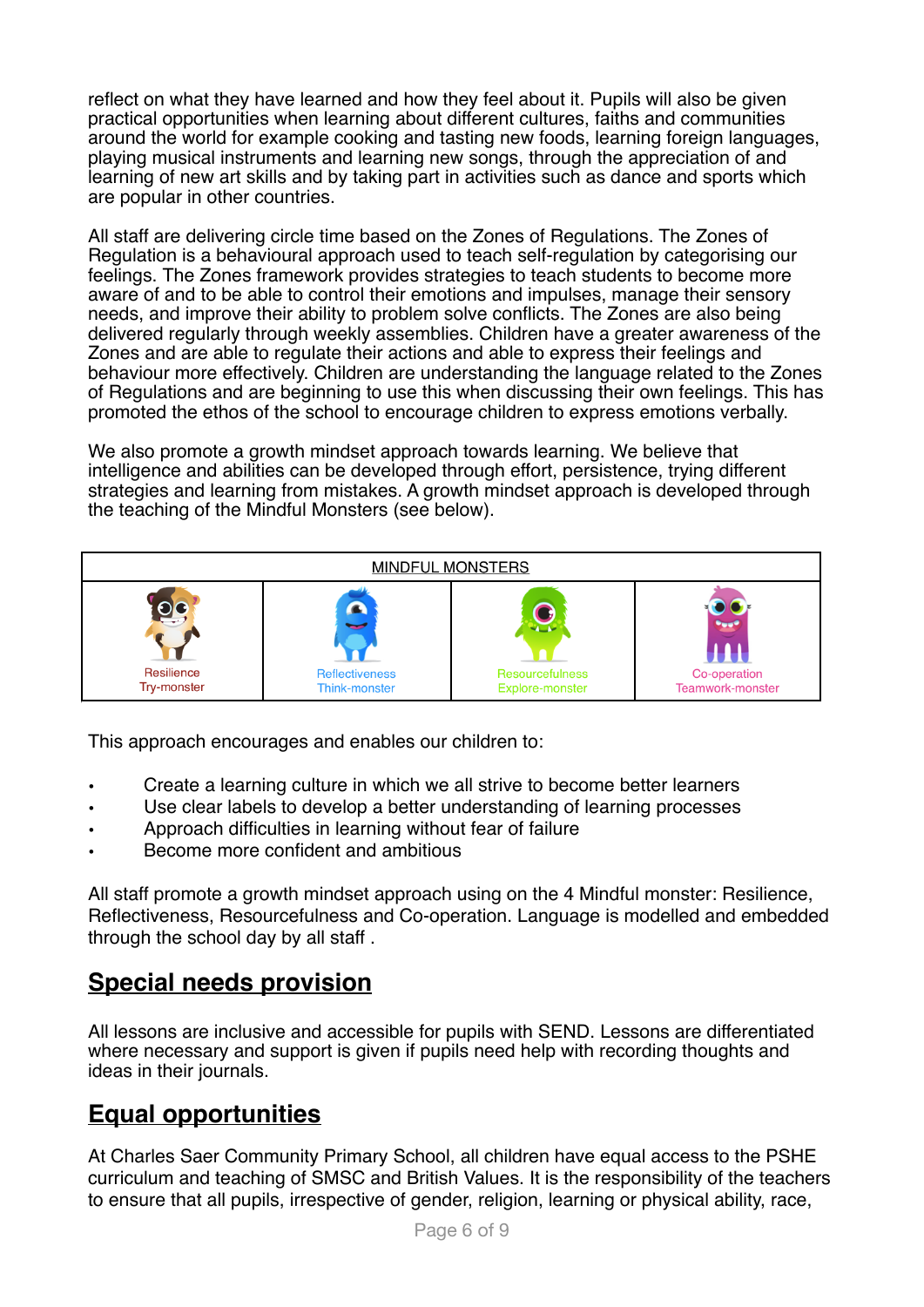reflect on what they have learned and how they feel about it. Pupils will also be given practical opportunities when learning about different cultures, faiths and communities around the world for example cooking and tasting new foods, learning foreign languages, playing musical instruments and learning new songs, through the appreciation of and learning of new art skills and by taking part in activities such as dance and sports which are popular in other countries.

All staff are delivering circle time based on the Zones of Regulations. The Zones of Regulation is a behavioural approach used to teach self-regulation by categorising our feelings. The Zones framework provides strategies to teach students to become more aware of and to be able to control their emotions and impulses, manage their sensory needs, and improve their ability to problem solve conflicts. The Zones are also being delivered regularly through weekly assemblies. Children have a greater awareness of the Zones and are able to regulate their actions and able to express their feelings and behaviour more effectively. Children are understanding the language related to the Zones of Regulations and are beginning to use this when discussing their own feelings. This has promoted the ethos of the school to encourage children to express emotions verbally.

We also promote a growth mindset approach towards learning. We believe that intelligence and abilities can be developed through effort, persistence, trying different strategies and learning from mistakes. A growth mindset approach is developed through the teaching of the Mindful Monsters (see below).



This approach encourages and enables our children to:

- Create a learning culture in which we all strive to become better learners
- Use clear labels to develop a better understanding of learning processes
- Approach difficulties in learning without fear of failure
- Become more confident and ambitious

All staff promote a growth mindset approach using on the 4 Mindful monster: Resilience, Reflectiveness, Resourcefulness and Co-operation. Language is modelled and embedded through the school day by all staff .

### **Special needs provision**

All lessons are inclusive and accessible for pupils with SEND. Lessons are differentiated where necessary and support is given if pupils need help with recording thoughts and ideas in their journals.

### **Equal opportunities**

At Charles Saer Community Primary School, all children have equal access to the PSHE curriculum and teaching of SMSC and British Values. It is the responsibility of the teachers to ensure that all pupils, irrespective of gender, religion, learning or physical ability, race,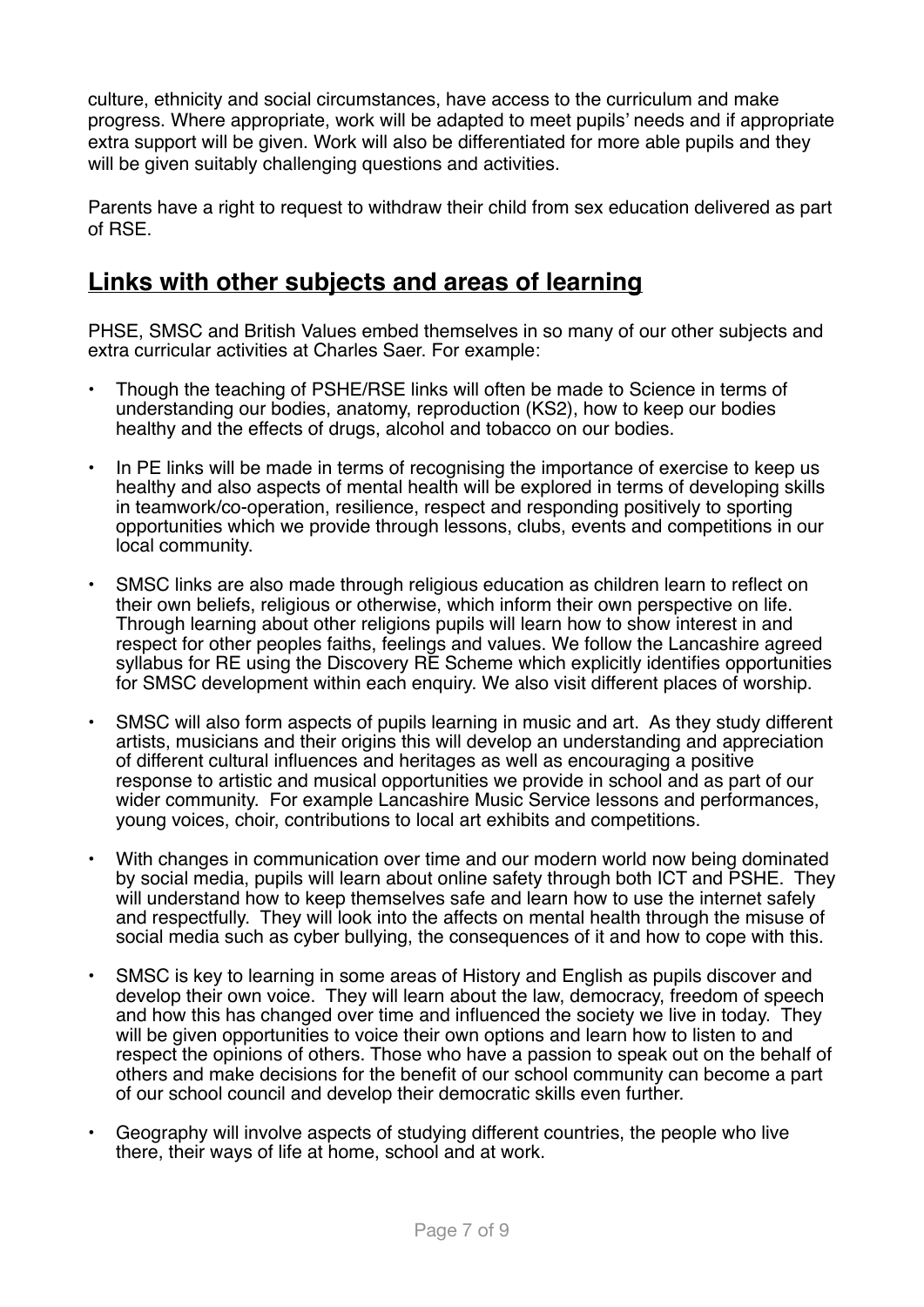culture, ethnicity and social circumstances, have access to the curriculum and make progress. Where appropriate, work will be adapted to meet pupils' needs and if appropriate extra support will be given. Work will also be differentiated for more able pupils and they will be given suitably challenging questions and activities.

Parents have a right to request to withdraw their child from sex education delivered as part of RSE.

# **Links with other subjects and areas of learning**

PHSE, SMSC and British Values embed themselves in so many of our other subjects and extra curricular activities at Charles Saer. For example:

- Though the teaching of PSHE/RSE links will often be made to Science in terms of understanding our bodies, anatomy, reproduction (KS2), how to keep our bodies healthy and the effects of drugs, alcohol and tobacco on our bodies.
- In PE links will be made in terms of recognising the importance of exercise to keep us healthy and also aspects of mental health will be explored in terms of developing skills in teamwork/co-operation, resilience, respect and responding positively to sporting opportunities which we provide through lessons, clubs, events and competitions in our local community.
- SMSC links are also made through religious education as children learn to reflect on their own beliefs, religious or otherwise, which inform their own perspective on life. Through learning about other religions pupils will learn how to show interest in and respect for other peoples faiths, feelings and values. We follow the Lancashire agreed syllabus for RE using the Discovery RE Scheme which explicitly identifies opportunities for SMSC development within each enquiry. We also visit different places of worship.
- SMSC will also form aspects of pupils learning in music and art. As they study different artists, musicians and their origins this will develop an understanding and appreciation of different cultural influences and heritages as well as encouraging a positive response to artistic and musical opportunities we provide in school and as part of our wider community. For example Lancashire Music Service lessons and performances, young voices, choir, contributions to local art exhibits and competitions.
- With changes in communication over time and our modern world now being dominated by social media, pupils will learn about online safety through both ICT and PSHE. They will understand how to keep themselves safe and learn how to use the internet safely and respectfully. They will look into the affects on mental health through the misuse of social media such as cyber bullying, the consequences of it and how to cope with this.
- SMSC is key to learning in some areas of History and English as pupils discover and develop their own voice. They will learn about the law, democracy, freedom of speech and how this has changed over time and influenced the society we live in today. They will be given opportunities to voice their own options and learn how to listen to and respect the opinions of others. Those who have a passion to speak out on the behalf of others and make decisions for the benefit of our school community can become a part of our school council and develop their democratic skills even further.
- Geography will involve aspects of studying different countries, the people who live there, their ways of life at home, school and at work.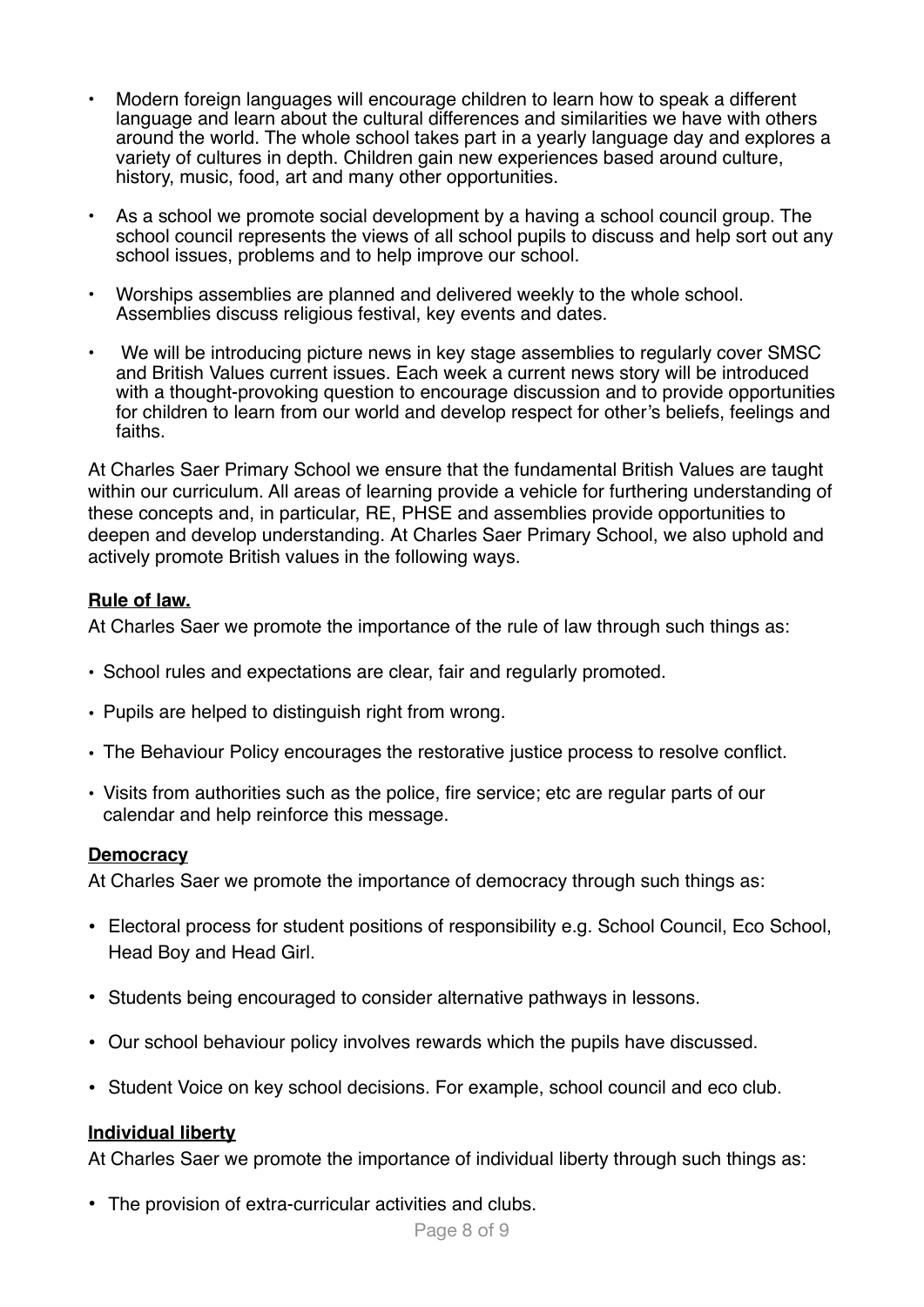- Modern foreign languages will encourage children to learn how to speak a different language and learn about the cultural differences and similarities we have with others around the world. The whole school takes part in a yearly language day and explores a variety of cultures in depth. Children gain new experiences based around culture, history, music, food, art and many other opportunities.
- As a school we promote social development by a having a school council group. The school council represents the views of all school pupils to discuss and help sort out any school issues, problems and to help improve our school.
- Worships assemblies are planned and delivered weekly to the whole school. Assemblies discuss religious festival, key events and dates.
- We will be introducing picture news in key stage assemblies to regularly cover SMSC and British Values current issues. Each week a current news story will be introduced with a thought-provoking question to encourage discussion and to provide opportunities for children to learn from our world and develop respect for other's beliefs, feelings and faiths.

At Charles Saer Primary School we ensure that the fundamental British Values are taught within our curriculum. All areas of learning provide a vehicle for furthering understanding of these concepts and, in particular, RE, PHSE and assemblies provide opportunities to deepen and develop understanding. At Charles Saer Primary School, we also uphold and actively promote British values in the following ways.

#### **Rule of law.**

At Charles Saer we promote the importance of the rule of law through such things as:

- School rules and expectations are clear, fair and regularly promoted.
- Pupils are helped to distinguish right from wrong.
- The Behaviour Policy encourages the restorative justice process to resolve conflict.
- Visits from authorities such as the police, fire service; etc are regular parts of our calendar and help reinforce this message.

#### **Democracy**

At Charles Saer we promote the importance of democracy through such things as:

- Electoral process for student positions of responsibility e.g. School Council, Eco School, Head Boy and Head Girl.
- Students being encouraged to consider alternative pathways in lessons.
- Our school behaviour policy involves rewards which the pupils have discussed.
- Student Voice on key school decisions. For example, school council and eco club.

#### **Individual liberty**

At Charles Saer we promote the importance of individual liberty through such things as:

• The provision of extra-curricular activities and clubs.